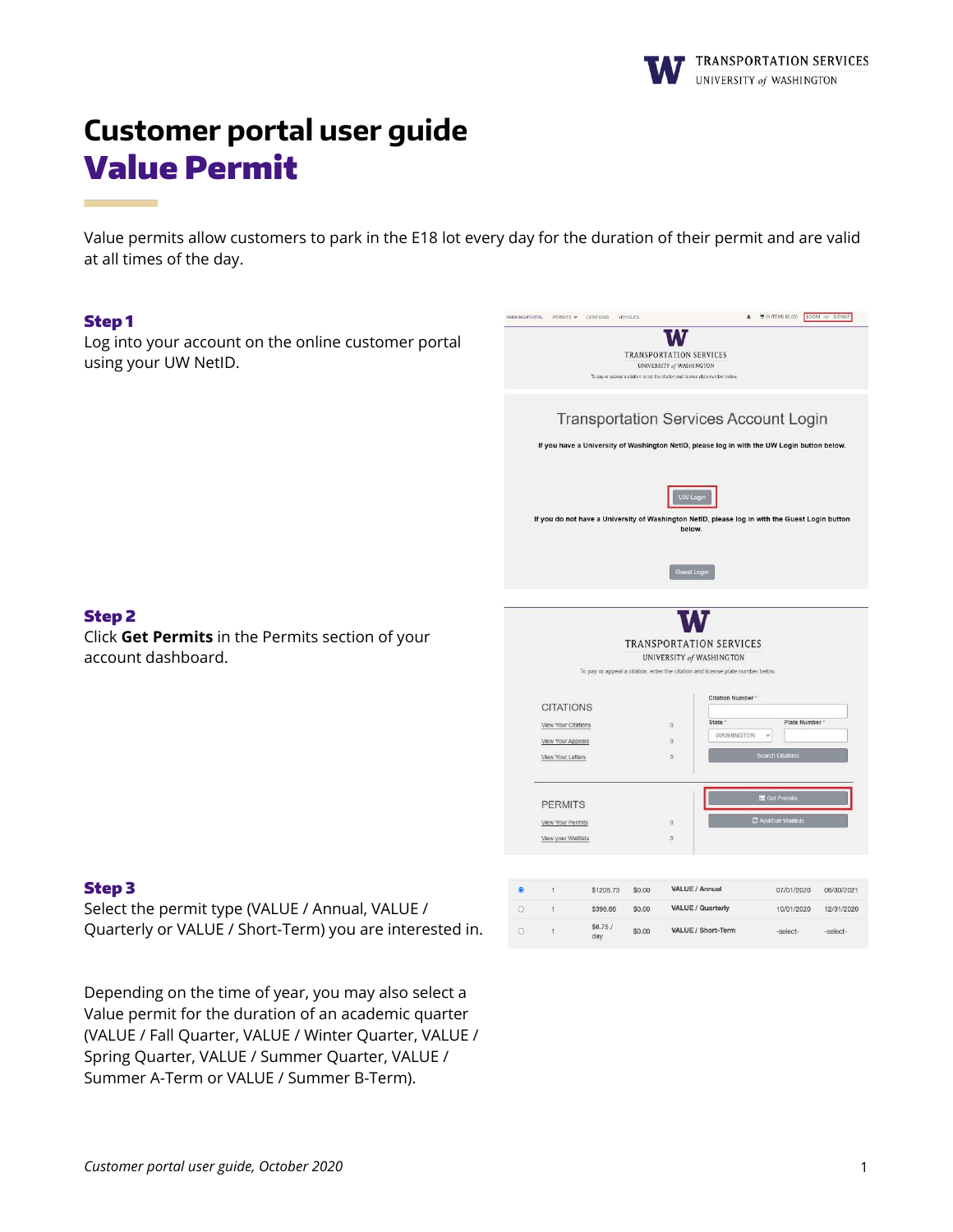

# **Customer portal user guide** Value Permit

Value permits allow customers to park in the E18 lot every day for the duration of their permit and are valid at all times of the day.

#### Step 1

Log into your account on the online customer portal using your UW NetID.



#### Step 2

Click **Get Permits** in the Permits section of your account dashboard.

# Step 3

Select the permit type (VALUE / Annual, VALUE / Quarterly or VALUE / Short-Term) you are interested in.

Depending on the time of year, you may also select a Value permit for the duration of an academic quarter (VALUE / Fall Quarter, VALUE / Winter Quarter, VALUE / Spring Quarter, VALUE / Summer Quarter, VALUE / Summer A-Term or VALUE / Summer B-Term).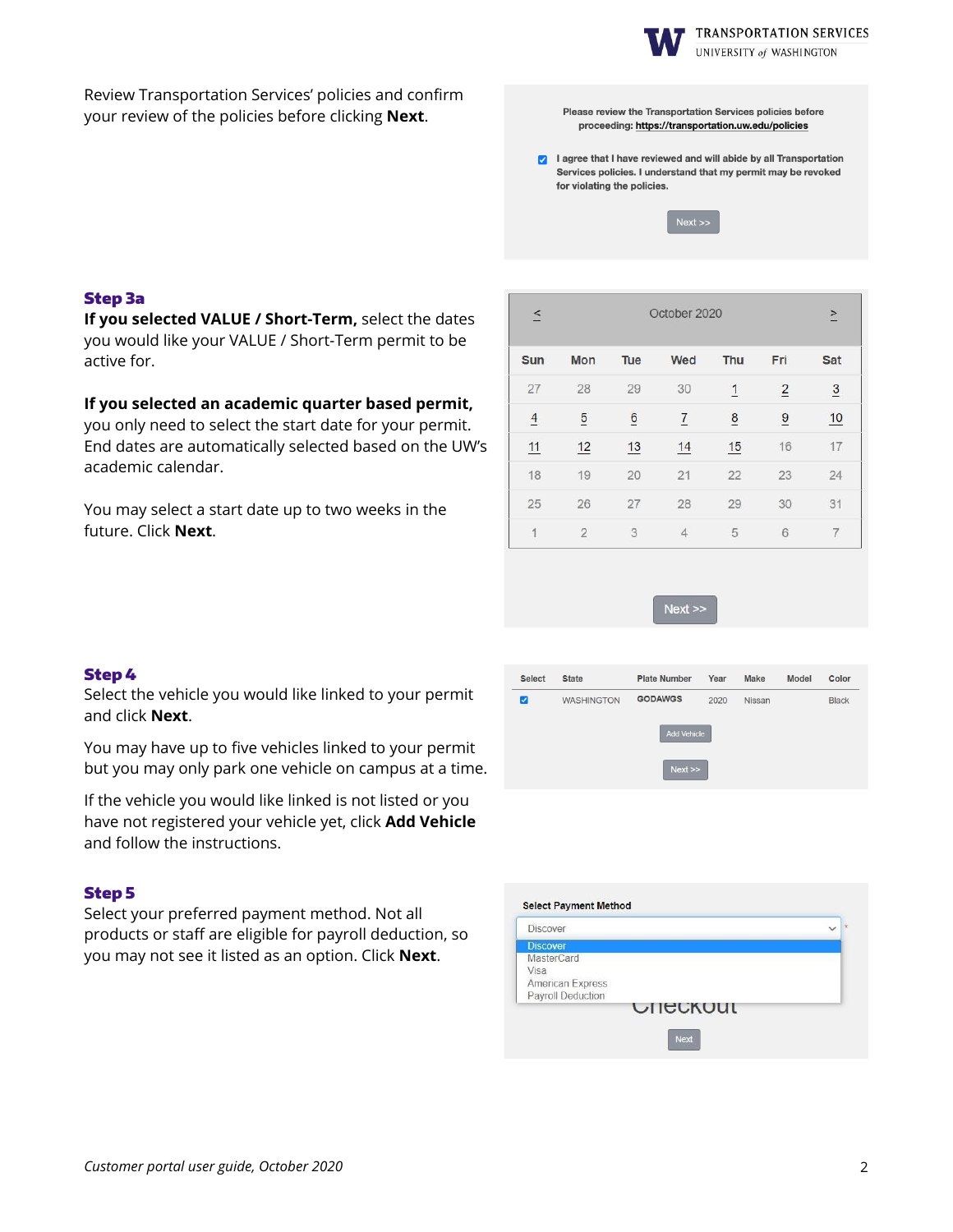

UNIVERSITY of WASHINGTON

Review Transportation Services' policies and confirm your review of the policies before clicking **Next**.

Please review the Transportation Services policies before proceeding: https://transportation.uw.edu/policies

a lagree that I have reviewed and will abide by all Transportation Services policies. I understand that my permit may be revoked for violating the policies.

 $Next$ 

# Step 3a

**If you selected VALUE / Short-Term,** select the dates you would like your VALUE / Short-Term permit to be active for.

# **If you selected an academic quarter based permit,**

you only need to select the start date for your permit. End dates are automatically selected based on the UW's academic calendar.

You may select a start date up to two weeks in the future. Click **Next**.

| $\leq$        | October 2020   |                 |                |                |                | $\geq$         |
|---------------|----------------|-----------------|----------------|----------------|----------------|----------------|
| Sun           | Mon            | Tue             | Wed            | Thu            | Fri            | Sat            |
| 27            | 28             | 29              | 30             | $\overline{1}$ | $\overline{2}$ | $\overline{3}$ |
| $\frac{4}{1}$ | $\overline{5}$ | $\underline{6}$ | $\overline{1}$ | $\frac{8}{1}$  | $\overline{9}$ | 10             |
| 11            | 12             | 13              | 14             | 15             | 16             | 17             |
| 18            | 19             | 20              | 21             | 22             | 23             | 24             |
| 25            | 26             | 27              | 28             | 29             | 30             | 31             |
| 1             | $\overline{2}$ | 3               | $\overline{4}$ | 5              | 6              | 7              |

 $Next$ 

#### Step 4

Select the vehicle you would like linked to your permit and click **Next**.

You may have up to five vehicles linked to your permit but you may only park one vehicle on campus at a time.

If the vehicle you would like linked is not listed or you have not registered your vehicle yet, click **Add Vehicle** and follow the instructions.

#### Step 5

Select your preferred payment method. Not all products or staff are eligible for payroll deduction, so you may not see it listed as an option. Click **Next**.



| <b>Discover</b>   |  |
|-------------------|--|
| <b>Discover</b>   |  |
| <b>MasterCard</b> |  |
| Visa              |  |
| American Express  |  |
| Payroll Deduction |  |
| <b>UILCKUUL</b>   |  |